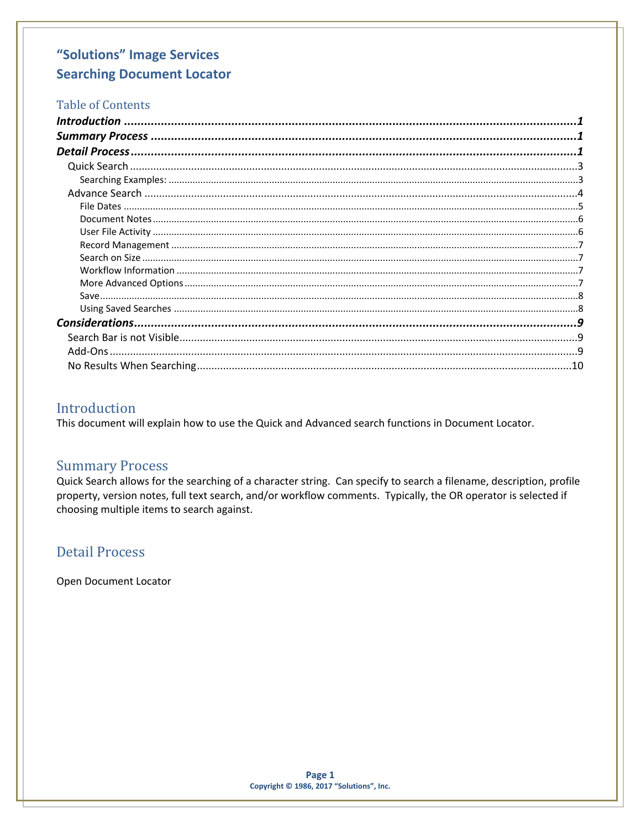## **Table of Contents**

## <span id="page-0-0"></span>Introduction

This document will explain how to use the Quick and Advanced search functions in Document Locator.

### <span id="page-0-1"></span>**Summary Process**

Quick Search allows for the searching of a character string. Can specify to search a filename, description, profile property, version notes, full text search, and/or workflow comments. Typically, the OR operator is selected if choosing multiple items to search against.

## <span id="page-0-2"></span>**Detail Process**

Open Document Locator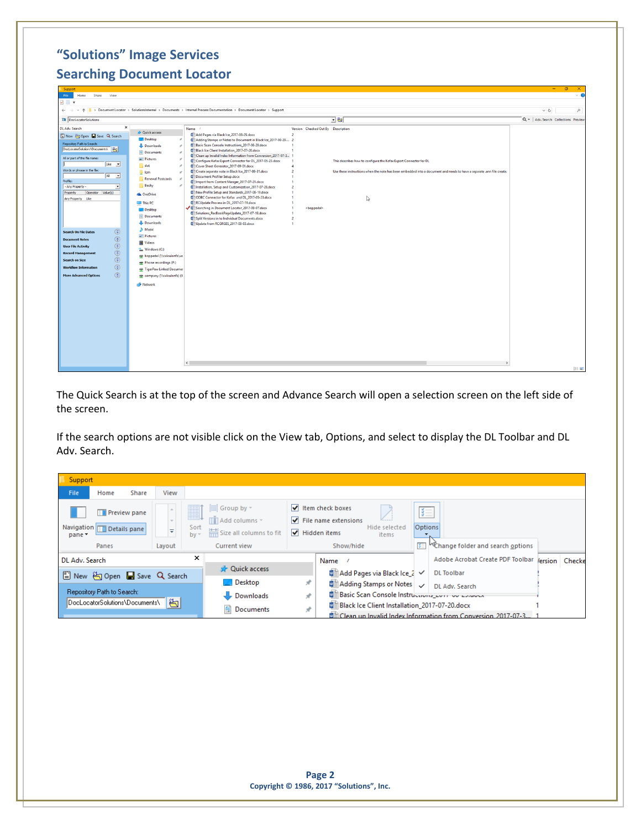| Support<br>File<br>Share View<br>Home<br>$\sqrt{2}$                                                                                                                                                                                                                                                                                                                                                                                                                                                                                                                                                                                                                                                                                                                                                                                                                                                                                                                                                                                                                                                                               |                                                                                                                                                                                                                                                                                                                                                                                                                                                                                                                                                                                                                                                                                                                                                                                                                                                                                                                                                                  |                                                                                                                               |                                                                                                                                                                                                  | $\sigma$<br>$\qquad \qquad -$         | ×<br>$\sqrt{2}$ |
|-----------------------------------------------------------------------------------------------------------------------------------------------------------------------------------------------------------------------------------------------------------------------------------------------------------------------------------------------------------------------------------------------------------------------------------------------------------------------------------------------------------------------------------------------------------------------------------------------------------------------------------------------------------------------------------------------------------------------------------------------------------------------------------------------------------------------------------------------------------------------------------------------------------------------------------------------------------------------------------------------------------------------------------------------------------------------------------------------------------------------------------|------------------------------------------------------------------------------------------------------------------------------------------------------------------------------------------------------------------------------------------------------------------------------------------------------------------------------------------------------------------------------------------------------------------------------------------------------------------------------------------------------------------------------------------------------------------------------------------------------------------------------------------------------------------------------------------------------------------------------------------------------------------------------------------------------------------------------------------------------------------------------------------------------------------------------------------------------------------|-------------------------------------------------------------------------------------------------------------------------------|--------------------------------------------------------------------------------------------------------------------------------------------------------------------------------------------------|---------------------------------------|-----------------|
| v 个 <mark>■ &gt; Document Locator &gt; SolutionsInternal &gt; Documents &gt; Internal Process Documentation &gt; Document Locator &gt; Support</mark><br>$\leftarrow$ $\rightarrow$                                                                                                                                                                                                                                                                                                                                                                                                                                                                                                                                                                                                                                                                                                                                                                                                                                                                                                                                               |                                                                                                                                                                                                                                                                                                                                                                                                                                                                                                                                                                                                                                                                                                                                                                                                                                                                                                                                                                  |                                                                                                                               |                                                                                                                                                                                                  | $\vee$ 0                              | $\circ$         |
| <b>DE</b> DocLocatorSolutions                                                                                                                                                                                                                                                                                                                                                                                                                                                                                                                                                                                                                                                                                                                                                                                                                                                                                                                                                                                                                                                                                                     |                                                                                                                                                                                                                                                                                                                                                                                                                                                                                                                                                                                                                                                                                                                                                                                                                                                                                                                                                                  |                                                                                                                               | 回回                                                                                                                                                                                               | Q =   Adv. Search Collections Preview |                 |
| $\mathbf{x}$<br>DL Adv. Search<br><b>Cuick access</b><br>New Hopen Save Q Search<br>Desktop<br>Repository Path to Search:<br><b>L</b> Downloads<br>DocLocatorSolutions\Documents\<br><b>Documents</b><br>All or part of the file name:<br>Pictures<br>Like -<br>dot<br>Words or phrase in the file:<br><b>E</b> lcm<br>All v<br>Renewal Postcards<br>Profile:<br>Becky<br>$\rightarrow$<br>- Any Property -<br>$\overline{ }$<br>Property<br>Operator Value(s)<br><b>Ga</b> OneDrive<br>Any Property Like<br>This PC<br><b>Desktop</b><br><b>Documents</b><br>Downloads<br>Music<br>$\circledcirc$<br><b>Search On File Dates</b><br>Pictures<br>$\textcircled{\scriptsize{0}} \textcircled{\scriptsize{0}} \textcircled{\scriptsize{0}}$<br><b>Document Notes</b><br><b>Fill</b> Videos<br><b>User File Activity</b><br><sup>12</sup> Windows (C:)<br><b>Record Management</b><br>boppedal (\\calculonfs\us<br><b>Search on Size</b><br>Phone recordings (P:)<br>$\circledS$<br><b>Workflow Information</b><br>TigerPaw Linked Documer<br>$\circledcirc$<br><b>More Advanced Options</b><br>company (\\calculonfs) (X<br>Network | Name /<br>Add Pages via Black Ice_2017-08-29.docx<br>Adding Stamps or Notes to Document in Black Ice_2017-08-29 2<br>Basic Scan Console Instructions_2017-08-29.docx<br>Black Ice Client Installation_2017-07-20.docx<br>Clean up Invalid Index Information from Conversion_2017-07-3 1<br>Configure Kofax Export Connector for DL_2017-05-23.docx<br>Cover Sheet Generator_2017-09-01.docx<br>Create separate note in Black Ice_2017-08-31.docx<br><b>Document Profiler Setup.docx</b><br>Ill Import from Content Manger_2017-07-21.docx<br><b>Directed Installation, Setup and Customization_2017-07-28.docx</b><br>□ New Profile Setup and Standards_2017-06-19.docx<br>DI ODBC Connector for Kofax and DL_2017-05-23.docx<br>RCUpdate Process in DL_2017-07-19.docx<br>Searching in Document Locator_2017-09-07.docx<br>Solutions_RecBookPageUpdate_2017-07-19.docx<br>Split Versions in to Individual Documents.docx<br>Update from RCGRGES_2017-08-03.docx | Version Checked Out By Description<br>$\overline{2}$<br>$\overline{2}$<br><boppedal><br/><math>\overline{a}</math></boppedal> | This describes how to configure the Kofax Export Connector for DL<br>Use these instructions when the note has been embedded into a document and needs to have a separate .ann file create.<br>r, |                                       |                 |
|                                                                                                                                                                                                                                                                                                                                                                                                                                                                                                                                                                                                                                                                                                                                                                                                                                                                                                                                                                                                                                                                                                                                   | $\langle$                                                                                                                                                                                                                                                                                                                                                                                                                                                                                                                                                                                                                                                                                                                                                                                                                                                                                                                                                        |                                                                                                                               |                                                                                                                                                                                                  |                                       | 旧日              |

The Quick Search is at the top of the screen and Advance Search will open a selection screen on the left side of the screen.

If the search options are not visible click on the View tab, Options, and select to display the DL Toolbar and DL Adv. Search.

| Support        |                                                    |       |                                         |                                   |                                                                                |   |                                                                                                      |                                                 |              |                                                                        |                |
|----------------|----------------------------------------------------|-------|-----------------------------------------|-----------------------------------|--------------------------------------------------------------------------------|---|------------------------------------------------------------------------------------------------------|-------------------------------------------------|--------------|------------------------------------------------------------------------|----------------|
| <b>File</b>    | Home                                               | Share | View                                    |                                   |                                                                                |   |                                                                                                      |                                                 |              |                                                                        |                |
| pane *         | <b>Preview pane</b><br>Navigation   Details pane   |       | $\mathcal{R}^{\prime}$<br>$\Rightarrow$ | 噩<br>---<br>EEE<br>Sort<br>$bv =$ | $\Box$ Group by $\sim$<br><b>ITTI Add columns</b> ▼<br>Size all columns to fit |   | Item check boxes<br>$\blacktriangleright$ File name extensions<br>$\blacktriangleright$ Hidden items | Hide selected<br><b>items</b>                   | 汇<br>Options |                                                                        |                |
|                | Panes                                              |       | Lavout                                  |                                   | Current view                                                                   |   | Show/hide                                                                                            |                                                 | 王            | <sup>W</sup> Change folder and search options                          |                |
| DL Adv. Search |                                                    |       |                                         | ×                                 |                                                                                |   | Name                                                                                                 |                                                 |              | Adobe Acrobat Create PDF Toolbar                                       | lersion Checke |
|                | New $\bigoplus$ Open <b>I</b> Save <b>Q</b> Search |       |                                         |                                   | <b>A</b> Quick access                                                          |   |                                                                                                      | ■ Add Pages via Black Ice 2 √                   |              | <b>DL</b> Toolbar                                                      |                |
|                |                                                    |       |                                         |                                   | $\Box$ Desktop                                                                 | À |                                                                                                      | ■ Adding Stamps or Notes                        |              | DL Adv. Search                                                         |                |
|                | Repository Path to Search:                         |       |                                         |                                   | Downloads                                                                      | À |                                                                                                      |                                                 |              | Sasic Scan Console Instructions_com ou conduct                         |                |
|                | DocLocatorSolutions\Documents\                     |       | 制                                       |                                   | 生<br>Documents                                                                 | À |                                                                                                      | ■ Black Ice Client Installation 2017-07-20.docx |              |                                                                        |                |
|                |                                                    |       |                                         |                                   |                                                                                |   |                                                                                                      |                                                 |              | <u> W</u> Clean up Invalid Index Information from Conversion 2017-07-3 |                |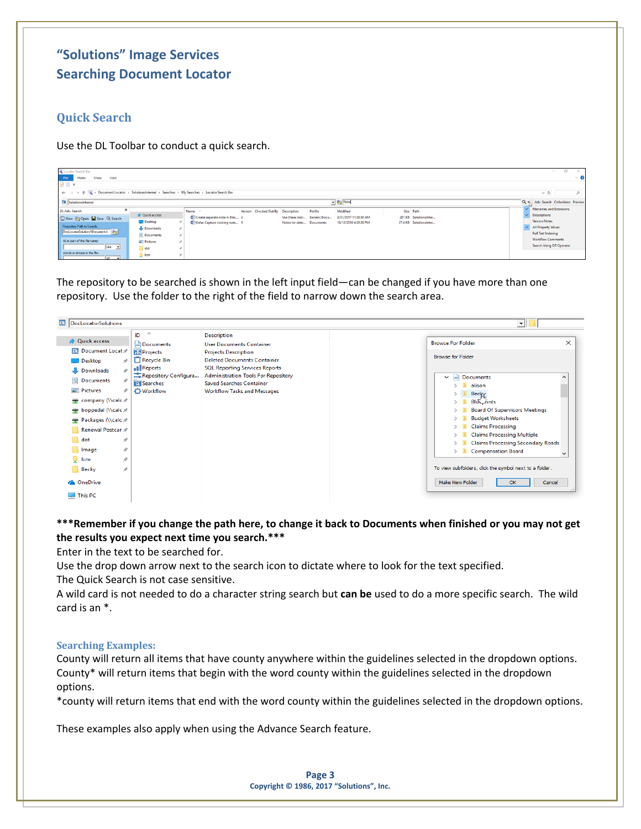## <span id="page-2-0"></span>**Quick Search**

Use the DL Toolbar to conduct a quick search.

| Locator Search Bar<br>Share<br>Home<br>View<br>File<br>$\sqrt{2}$<br>← → v ↑ Q > Document Locator > SolutionsInternal > Searches > My Searches > Locator Search Bar                                                                                                                                                                         |                                                                                     |                                                                                   |                                                                                       |                                                              | $\Box$<br>$\times$<br>$\hspace{0.1mm}-\hspace{0.1mm}$<br>$\vee$ 0<br>$\vee$ 0<br>۹                                                                                                                |
|---------------------------------------------------------------------------------------------------------------------------------------------------------------------------------------------------------------------------------------------------------------------------------------------------------------------------------------------|-------------------------------------------------------------------------------------|-----------------------------------------------------------------------------------|---------------------------------------------------------------------------------------|--------------------------------------------------------------|---------------------------------------------------------------------------------------------------------------------------------------------------------------------------------------------------|
| <b>DE</b> SolutionsInternal                                                                                                                                                                                                                                                                                                                 |                                                                                     |                                                                                   | - En Note                                                                             |                                                              | Q T Adv. Search Collections Preview                                                                                                                                                               |
| $\boldsymbol{\times}$<br>DL Adv. Search<br><b>Str Quick access</b><br>New Hopen Save Q Search<br><b>Desktop</b><br>Repository Path to Search:<br>Downloads<br>DocLocatorSolutions\Documents\<br><b>Documents</b><br>All or part of the file name:<br>$=$ Pictures<br>Like _ _<br>dot<br>Words or phrase in the file:<br>lcm<br>$ A $ $\vee$ | Name<br>Create separate note in Blac 2<br><b>Dill Kofax Capture training note</b> 9 | Version Checked Out By Description<br>Use these instr<br>Notes-to-date: Documents | Profile<br>Modified<br>Generic Docu<br>8/31/2017 11:38:30 AM<br>10/12/2016 4:39:26 PM | Size Path<br>281 KB SolutionsInter<br>27.4 KB SolutionsInter | <b>Filenames and Extensions</b><br><b>Descriptions</b><br><b>Version Notes</b><br>All Property Values<br><b>Full Text Indexing</b><br><b>Workflow Comments</b><br><b>Search Using OR Operator</b> |

The repository to be searched is shown in the left input field—can be changed if you have more than one repository. Use the folder to the right of the field to narrow down the search area.

| <b>24</b> DocLocatorSolutions                                                                               |                                                                                                   |                                                                                                                                                                                                    | ᆀ                                                                                                                                                                                                                               |                     |
|-------------------------------------------------------------------------------------------------------------|---------------------------------------------------------------------------------------------------|----------------------------------------------------------------------------------------------------------------------------------------------------------------------------------------------------|---------------------------------------------------------------------------------------------------------------------------------------------------------------------------------------------------------------------------------|---------------------|
| <b>Cuick access</b><br>Da Document Locat                                                                    | $\hat{\phantom{a}}$<br>ID<br>Documents<br><b>Projects</b>                                         | <b>Description</b><br><b>User Documents Container</b><br><b>Projects Description</b>                                                                                                               | <b>Browse For Folder</b><br><b>Browse for Folder</b>                                                                                                                                                                            | $\times$            |
| Desktop<br>×.<br>Downloads<br>÷<br>育<br>Documents<br>À<br>$\blacksquare$ Pictures<br>À<br>company (\\calc x | $\Box$ Recycle Bin<br><b>I</b> Reports<br>Repository Configura<br>Q Searches<br><b>O</b> Workflow | <b>Deleted Documents Container</b><br><b>SQL Reporting Services Reports</b><br><b>Administration Tools For Repository</b><br><b>Saved Searches Container</b><br><b>Workflow Tasks and Messages</b> | ₽<br>Documents<br>$\checkmark$<br>alison<br>Becky                                                                                                                                                                               | $\hat{\phantom{1}}$ |
| boppedal (\\calc x*<br>Packages (\\calc ><br>Renewal Postcan **<br>dot<br>$\mathcal{R}$<br>À<br>Image       |                                                                                                   |                                                                                                                                                                                                    | <b>Blue</b> rints<br><b>Board Of Supervisors Meetings</b><br><b>Budget Worksheets</b><br><b>Claims Processing</b><br><b>Claims Processing Multiple</b><br><b>Claims Processing Secondary Roads</b><br><b>Compensation Board</b> |                     |
| $\Box$ lcm<br>À<br>Becky<br>À<br><b>ConeDrive</b><br>$\Box$ This PC                                         |                                                                                                   |                                                                                                                                                                                                    | To view subfolders, click the symbol next to a folder.<br>Make New Folder<br>Cancel<br>OK                                                                                                                                       | $\checkmark$        |

### **\*\*\*Remember if you change the path here, to change it back to Documents when finished or you may not get the results you expect next time you search.\*\*\***

Enter in the text to be searched for.

Use the drop down arrow next to the search icon to dictate where to look for the text specified.

The Quick Search is not case sensitive.

A wild card is not needed to do a character string search but **can be** used to do a more specific search. The wild card is an \*.

### <span id="page-2-1"></span>**Searching Examples:**

County will return all items that have county anywhere within the guidelines selected in the dropdown options. County\* will return items that begin with the word county within the guidelines selected in the dropdown options.

\*county will return items that end with the word county within the guidelines selected in the dropdown options.

These examples also apply when using the Advance Search feature.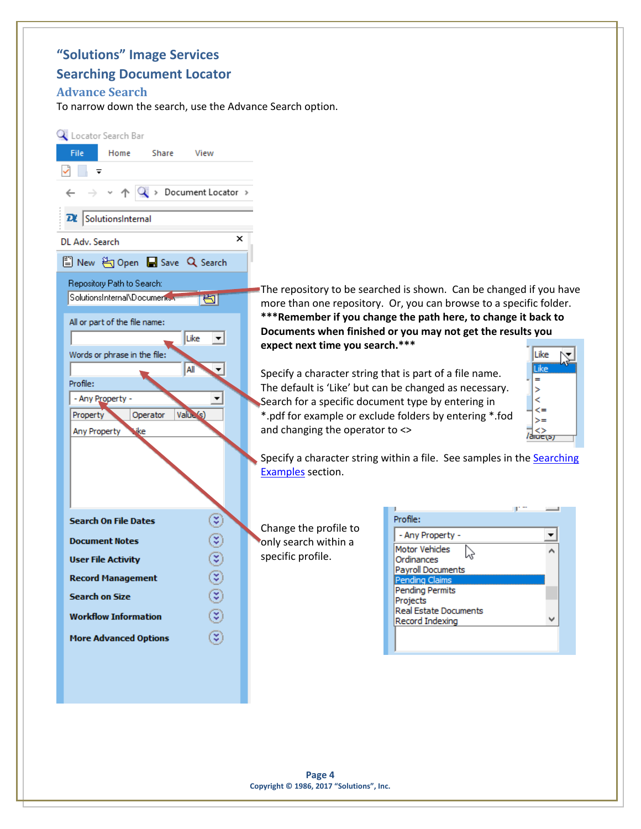## **"Solutions" Image Services**

### **Searching Document Locator**

### <span id="page-3-0"></span>**Advance Search**

To narrow down the search, use the Advance Search option.

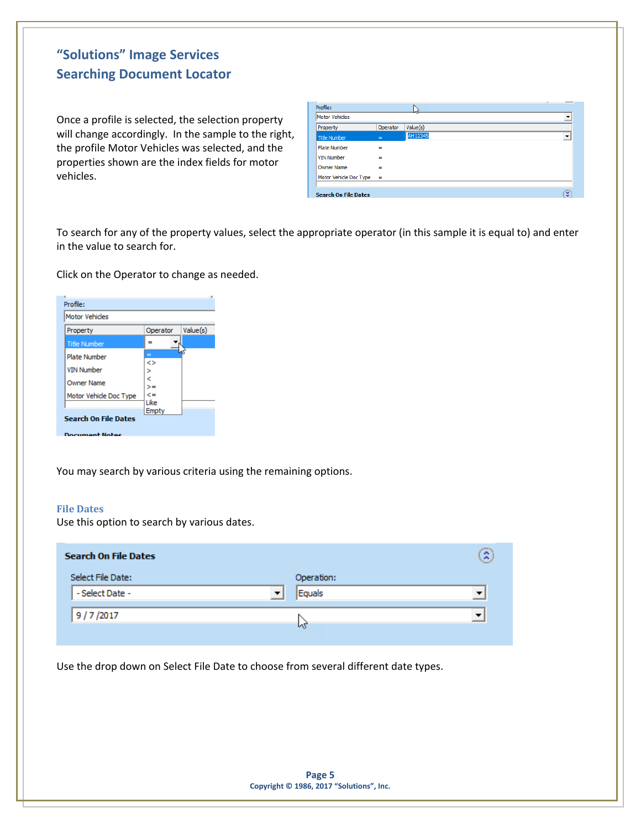Once a profile is selected, the selection property will change accordingly. In the sample to the right, the profile Motor Vehicles was selected, and the properties shown are the index fields for motor vehicles.

| Profile:                    |          | Δť       |                          |
|-----------------------------|----------|----------|--------------------------|
| Motor Vehicles              |          |          | $\overline{\phantom{a}}$ |
| Property                    | Operator | Value(s) |                          |
| Title Number                | $=$      | AH12345  | $\overline{\phantom{a}}$ |
| <b>Plate Number</b>         | $\equiv$ |          |                          |
| <b>VIN Number</b>           | $\equiv$ |          |                          |
| <b>Owner Name</b>           | $=$      |          |                          |
| Motor Vehicle Doc Type      | $\equiv$ |          |                          |
|                             |          |          |                          |
| <b>Search On File Dates</b> |          |          | ю                        |

To search for any of the property values, select the appropriate operator (in this sample it is equal to) and enter in the value to search for.

Click on the Operator to change as needed.



You may search by various criteria using the remaining options.

#### <span id="page-4-0"></span>**File Dates**

Use this option to search by various dates.

| <b>Search On File Dates</b> |                                    | Ã                        |
|-----------------------------|------------------------------------|--------------------------|
| Select File Date:           | Operation:                         |                          |
| - Select Date -             | $\overline{\phantom{a}}$<br>Equals | $\overline{\phantom{a}}$ |
| 9/7/2017                    |                                    | ▼                        |
|                             | и                                  |                          |

Use the drop down on Select File Date to choose from several different date types.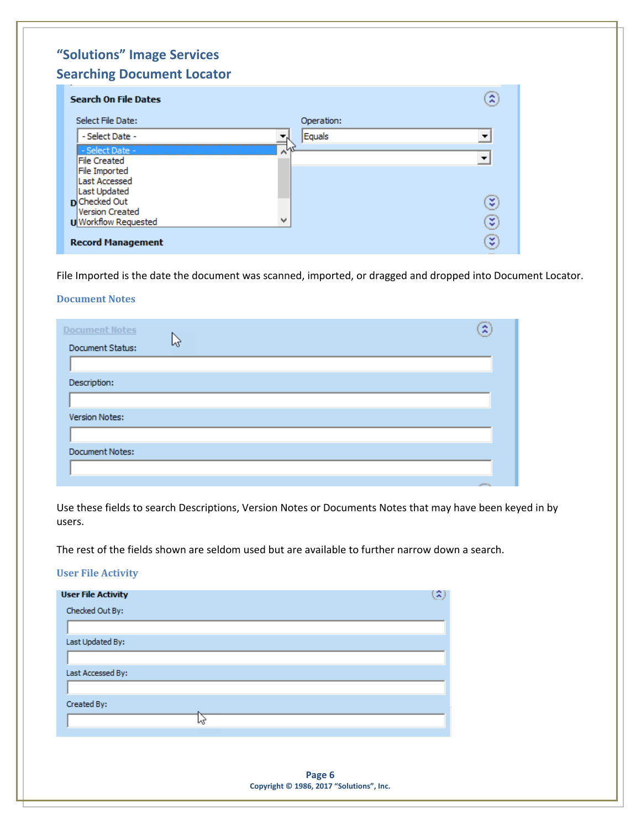| <b>Search On File Dates</b> |                       | 2 |
|-----------------------------|-----------------------|---|
| Select File Date:           | Operation:            |   |
| - Select Date -             | Equals                | ▼ |
| - Select Date -             | $\wedge^{\mathsf{L}}$ |   |
| <b>File Created</b>         |                       | ▼ |
| <b>File Imported</b>        |                       |   |
| <b>Last Accessed</b>        |                       |   |
| Last Updated                |                       |   |
| <b>D</b> Checked Out        |                       | ₹ |
| Version Created             |                       |   |
| <b>U</b> Workflow Requested | w                     | ¥ |
| <b>Record Management</b>    |                       | ₹ |

File Imported is the date the document was scanned, imported, or dragged and dropped into Document Locator.

#### <span id="page-5-0"></span>**Document Notes**

| <b>Document Notes</b>  |    |  |  | R            |
|------------------------|----|--|--|--------------|
| Document Status:       | Иŕ |  |  |              |
|                        |    |  |  |              |
| Description:           |    |  |  |              |
|                        |    |  |  |              |
| Version Notes:         |    |  |  |              |
|                        |    |  |  |              |
| <b>Document Notes:</b> |    |  |  |              |
|                        |    |  |  |              |
|                        |    |  |  | <b>SPIER</b> |

Use these fields to search Descriptions, Version Notes or Documents Notes that may have been keyed in by users.

The rest of the fields shown are seldom used but are available to further narrow down a search.

### <span id="page-5-1"></span>**User File Activity**

| <b>User File Activity</b> | 2 |
|---------------------------|---|
| Checked Out By:           |   |
|                           |   |
| Last Updated By:          |   |
|                           |   |
| Last Accessed By:         |   |
|                           |   |
| Created By:               |   |
|                           |   |
|                           |   |

**Page 6 Copyright © 1986, 2017 "Solutions", Inc.**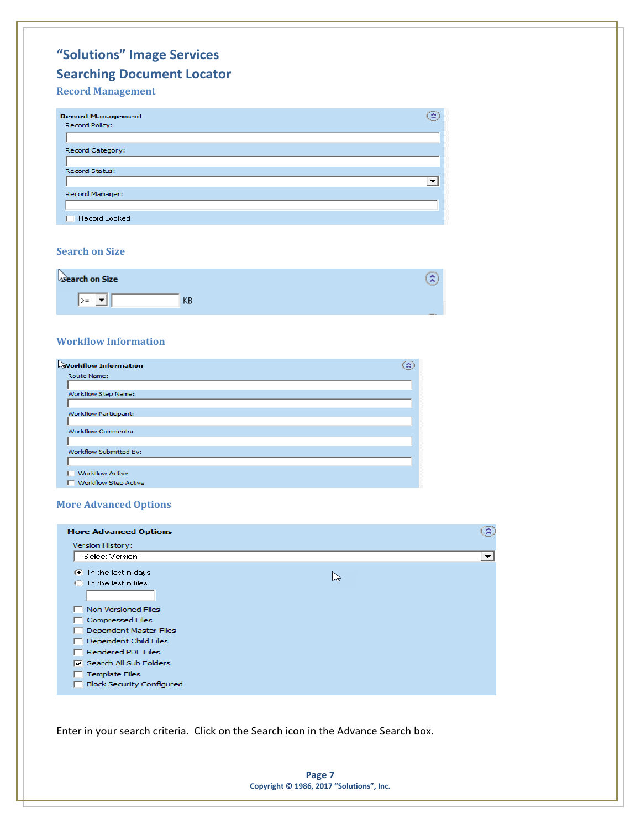### <span id="page-6-0"></span>**Record Management**



#### <span id="page-6-1"></span>**Search on Size**

| search on Size |   | -<br>×<br><b>Targant</b> |
|----------------|---|--------------------------|
| $>=$           | ∼ |                          |

#### <span id="page-6-2"></span>**Workflow Information**

| <b>Workflow Information</b> | R |
|-----------------------------|---|
| Route Name:                 |   |
| Workflow Step Name:         |   |
|                             |   |
| Workflow Participant:       |   |
|                             |   |
| <b>Workflow Comments:</b>   |   |
| Workflow Submitted By:      |   |
| <b>Workflow Active</b>      |   |
| <b>Workflow Step Active</b> |   |

#### <span id="page-6-3"></span>**More Advanced Options**

| <b>More Advanced Options</b>     | 3 |
|----------------------------------|---|
| Version History:                 |   |
| - Select Version -               | ▾ |
| <b>C</b> In the last n days<br>い |   |
| $\bigcap$ In the last n files    |   |
| Non Versioned Files              |   |
| <b>Compressed Files</b>          |   |
| Dependent Master Files           |   |
| Dependent Child Files            |   |
| Rendered PDF Files               |   |
| $\nabla$ Search All Sub Folders  |   |
| <b>Template Files</b>            |   |
| <b>Block Security Configured</b> |   |

Enter in your search criteria. Click on the Search icon in the Advance Search box.

**Page 7 Copyright © 1986, 2017 "Solutions", Inc.**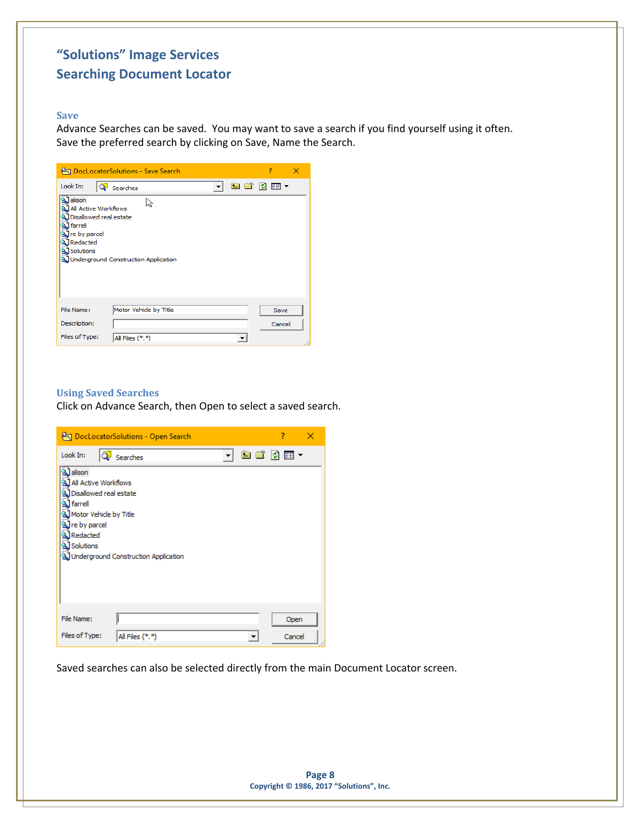#### <span id="page-7-0"></span>**Save**

Advance Searches can be saved. You may want to save a search if you find yourself using it often. Save the preferred search by clicking on Save, Name the Search.

|                                                                                                                                                                | DocLocatorSolutions - Save Search    | 7      | × |
|----------------------------------------------------------------------------------------------------------------------------------------------------------------|--------------------------------------|--------|---|
| Look In:                                                                                                                                                       | Searches                             | 白首刘丽~  |   |
| <b>AJ</b> alison<br>a All Active Workflows<br>al Disallowed real estate<br><b>&amp;</b> farrell<br><b>N</b> re by parcel<br>Redacted<br><b>&amp; Solutions</b> | Underground Construction Application |        |   |
| File Name:                                                                                                                                                     | Motor Vehicle by Title               | Save   |   |
| Description:                                                                                                                                                   |                                      | Cancel |   |
| Files of Type:                                                                                                                                                 | All Files (*.*)                      |        |   |

### <span id="page-7-1"></span>**Using Saved Searches**

Click on Advance Search, then Open to select a saved search.

|                                                                                                                                                                                    | DocLocatorSolutions - Open Search    |          | 7      |
|------------------------------------------------------------------------------------------------------------------------------------------------------------------------------------|--------------------------------------|----------|--------|
| Look In:                                                                                                                                                                           | Searches                             | <b>v</b> | 白首圆丽~  |
| <b>A</b> alison<br>्री All Active Workflows<br>a) Disallowed real estate<br><sup>2</sup> farrell<br>o Motor Vehicle by Title<br>्री re by parcel<br>Redacted<br><b>J</b> Solutions | Underground Construction Application |          |        |
| File Name:                                                                                                                                                                         |                                      |          | Open   |
| Files of Type:                                                                                                                                                                     | All Files (*.*)                      |          | Cancel |

Saved searches can also be selected directly from the main Document Locator screen.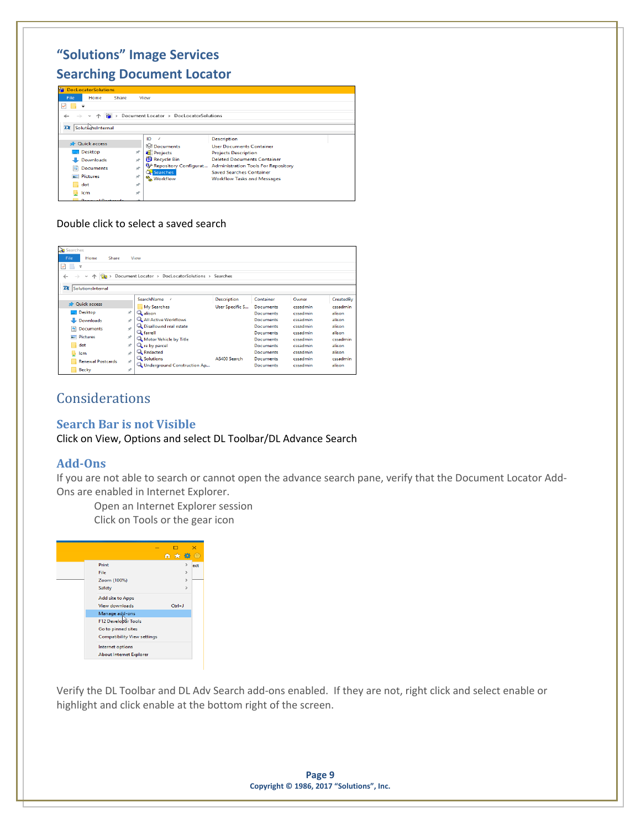| <b>The DocLocatorSolutions</b>              |                      |                                        |                                                           |  |
|---------------------------------------------|----------------------|----------------------------------------|-----------------------------------------------------------|--|
| File<br>Home<br>Share                       |                      | View                                   |                                                           |  |
| ✓                                           |                      |                                        |                                                           |  |
|                                             |                      | Document Locator > DocLocatorSolutions |                                                           |  |
|                                             |                      |                                        |                                                           |  |
| 7X.<br>SolutionsInternal                    |                      |                                        |                                                           |  |
|                                             |                      | ID                                     | <b>Description</b>                                        |  |
| <b>R</b> Quick access                       |                      | <b>Separator</b> Documents             | <b>User Documents Container</b>                           |  |
| Desktop                                     | À                    | <b>Projects</b>                        | <b>Projects Description</b>                               |  |
| Downloads                                   | $\overrightarrow{r}$ | <b>Recycle Bin</b>                     | <b>Deleted Documents Container</b>                        |  |
| 鱛<br><b>Documents</b>                       | À                    |                                        | Repository Configurat Administration Tools For Repository |  |
| <b>Pictures</b><br>$\overline{\phantom{0}}$ | À                    | <b>Q.</b> Searches                     | <b>Saved Searches Container</b>                           |  |
|                                             |                      | & Workflow                             | <b>Workflow Tasks and Messages</b>                        |  |
| dot                                         | $\overrightarrow{A}$ |                                        |                                                           |  |
| lcm                                         | $\mathcal{A}$        |                                        |                                                           |  |
| <b>Donaural Doctonole</b>                   |                      |                                        |                                                           |  |

Double click to select a saved search

| Searches                                     |               |                                             |                        |                  |          |           |
|----------------------------------------------|---------------|---------------------------------------------|------------------------|------------------|----------|-----------|
| File<br>Home<br>Share                        |               | View                                        |                        |                  |          |           |
| Ψ                                            |               |                                             |                        |                  |          |           |
|                                              |               | Document Locator ><br>DocLocatorSolutions > | Searches               |                  |          |           |
| ←                                            |               |                                             |                        |                  |          |           |
| $\overline{\mathbf{a}}$<br>SolutionsInternal |               |                                             |                        |                  |          |           |
|                                              |               |                                             |                        |                  |          |           |
|                                              |               | SearchName                                  | <b>Description</b>     | Container        | Owner    | CreatedBy |
| <b>Duick access</b>                          |               | My Searches                                 | <b>User Specific S</b> | <b>Documents</b> | cssadmin | cssadmin  |
| <b>Desktop</b>                               | ÷             | Q alison                                    |                        | Documents        | cssadmin | alison    |
| Downloads                                    | ÷             | <b>Q</b> All Active Workflows               |                        | Documents        | cssadmin | alison    |
| 闛<br><b>Documents</b>                        | ÷             | Q. Disallowed real estate                   |                        | Documents        | cssadmin | alison    |
|                                              |               | <b>Q</b> farrell                            |                        | <b>Documents</b> | cssadmin | alison    |
| Pictures                                     | À             | Motor Vehicle by Title                      |                        | Documents        | cssadmin | cssadmin  |
| dot                                          | À             | <b>Q</b> re by parcel                       |                        | <b>Documents</b> | cssadmin | alison    |
| u<br>Icm                                     | À             | Redacted                                    |                        | Documents        | cssadmin | alison    |
| <b>Renewal Postcards</b>                     | $\mathcal{A}$ | <b>Q</b> Solutions                          | AS400 Search           | <b>Documents</b> | cssadmin | cssadmin  |
|                                              |               | Underground Construction Ap                 |                        | Documents        | cssadmin | alison    |
| <b>Becky</b>                                 | À             |                                             |                        |                  |          |           |

# <span id="page-8-0"></span>**Considerations**

## <span id="page-8-1"></span>**Search Bar is not Visible**

Click on View, Options and select DL Toolbar/DL Advance Search

### <span id="page-8-2"></span>**Add-Ons**

If you are not able to search or cannot open the advance search pane, verify that the Document Locator Add-Ons are enabled in Internet Explorer.

Open an Internet Explorer session

Click on Tools or the gear icon



Verify the DL Toolbar and DL Adv Search add-ons enabled. If they are not, right click and select enable or highlight and click enable at the bottom right of the screen.